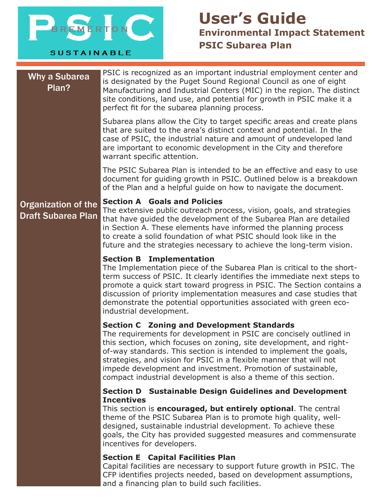

**SUSTAINABLE** 

# **User's Guide Environmental Impact Statement PSIC Subarea Plan**

# Why a Subarea Plan?

PSIC is recognized as an important industrial employment center and is designated by the Puget Sound Regional Council as one of eight Manufacturing and Industrial Centers (MIC) in the region. The distinct site conditions, land use, and potential for growth in PSIC make it a perfect fit for the subarea planning process.

Subarea plans allow the City to target specific areas and create plans that are suited to the area's distinct context and potential. In the case of PSIC, the industrial nature and amount of undeveloped land are important to economic development in the City and therefore warrant specific attention.

The PSIC Subarea Plan is intended to be an effective and easy to use document for guiding growth in PSIC. Outlined below is a breakdown of the Plan and a helpful guide on how to navigate the document.

## Organization of the Draft Subarea Plan

### **Section A Goals and Policies**

The extensive public outreach process, vision, goals, and strategies that have guided the development of the Subarea Plan are detailed in Section A. These elements have informed the planning process to create a solid foundation of what PSIC should look like in the future and the strategies necessary to achieve the long-term vision.

### **Section B Implementation**

The Implementation piece of the Subarea Plan is critical to the shortterm success of PSIC. It clearly identifies the immediate next steps to promote a quick start toward progress in PSIC. The Section contains a discussion of priority implementation measures and case studies that demonstrate the potential opportunities associated with green ecoindustrial development.

### **Section C Zoning and Development Standards**

The requirements for development in PSIC are concisely outlined in this section, which focuses on zoning, site development, and rightof-way standards. This section is intended to implement the goals, strategies, and vision for PSIC in a flexible manner that will not impede development and investment. Promotion of sustainable, compact industrial development is also a theme of this section.

### **Section D Sustainable Design Guidelines and Development Incentives**

This section is **encouraged, but entirely optional**. The central theme of the PSIC Subarea Plan is to promote high quality, welldesigned, sustainable industrial development. To achieve these goals, the City has provided suggested measures and commensurate incentives for developers.

### **Section E Capital Facilities Plan**

Capital facilities are necessary to support future growth in PSIC. The CFP identifies projects needed, based on development assumptions, and a financing plan to build such facilities.